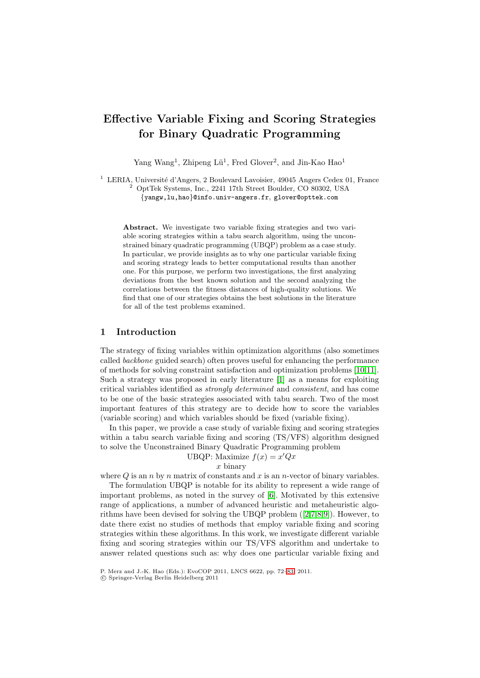# **Effective Variable Fixing and Scoring Strategies for Binary Quadratic Programming**

Yang Wang<sup>1</sup>, Zhipeng Lü<sup>1</sup>, Fred Glover<sup>2</sup>, and Jin-Kao Hao<sup>1</sup>

<sup>1</sup> LERIA, Université d'Angers, 2 Boulevard Lavoisier, 49045 Angers Cedex 01, France  $2$  OptTek Systems, Inc., 2241 17th Street Boulder, CO 80302, USA {yangw,lu,hao}@info.univ-angers.fr, glover@opttek.com

**Abstract.** We investigate two variable fixing strategies and two variable scoring strategies within a tabu search algorithm, using the unconstrained binary quadratic programming (UBQP) problem as a case study. In particular, we provide insights as to why one particular variable fixing and scoring strategy leads to better computational results than another one. For this purpose, we perform two investigations, the first analyzing deviations from the best known solution and the second analyzing the correlations between the fitness distances of high-quality solutions. We find that one of our strategies obtains the best solutions in the literature for all of the test problems examined.

### **1 Introduction**

The strategy of fixing variables within optimization algorithms (also sometimes called *backbone* guided search) often proves useful for enhancing the performance of methods for solving constraint satisfaction and optimization problems [\[10,](#page-11-0)[11\]](#page-11-1). Such a strategy was proposed in early literature [\[1\]](#page-11-2) as a means for exploiting critical variables identified as *strongly determined* and *consistent*, and has come to be one of the basic strategies associated with tabu search. Two of the most important features of this strategy are to decide how to score the variables (variable scoring) and which variables should be fixed (variable fixing).

In this paper, we provide a case study of variable fixing and scoring strategies within a tabu search variable fixing and scoring (TS/VFS) algorithm designed to solve the Unconstrained Binary Quadratic Programming problem

UBQP: Maximize  $f(x) = x'Qx$ 

x binary

where  $Q$  is an n by n matrix of constants and x is an n-vector of binary variables.

The formulation UBQP is notable for its ability to represent a wide range of important problems, as noted in the survey of [\[6\]](#page-11-3). Motivated by this extensive range of applications, a number of advanced heuristic and metaheuristic algorithms have been devised for solving the UBQP problem ([\[2,](#page-11-4)[7,](#page-11-5)[8](#page-11-6)[,9\]](#page-11-7)). However, to date there exist no studies of methods that employ variable fixing and scoring strategies within these algorithms. In this work, we investigate different variable fixing and scoring strategies within our TS/VFS algorithm and undertake to answer related questions such as: why does one particular variable fixing and

P. Merz and J.-K. Hao (Eds.): EvoCOP 2011, LNCS 6622, pp. 72[–83,](#page-11-8) 2011.

c Springer-Verlag Berlin Heidelberg 2011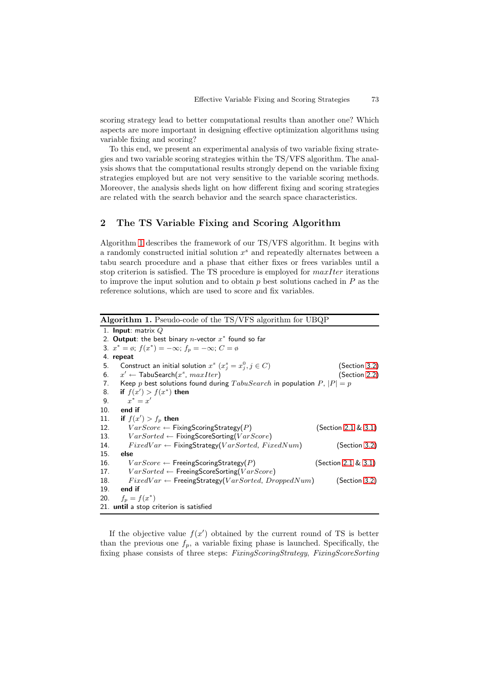scoring strategy lead to better computational results than another one? Which aspects are more important in designing effective optimization algorithms using variable fixing and scoring?

To this end, we present an experimental analysis of two variable fixing strategies and two variable scoring strategies within the TS/VFS algorithm. The analysis shows that the computational results strongly depend on the variable fixing strategies employed but are not very sensitive to the variable scoring methods. Moreover, the analysis sheds light on how different fixing and scoring strategies are related with the search behavior and the search space characteristics.

### **2 The TS Variable Fixing and Scoring Algorithm**

Algorithm [1](#page-1-0) describes the framework of our TS/VFS algorithm. It begins with a randomly constructed initial solution x*<sup>s</sup>* and repeatedly alternates between a tabu search procedure and a phase that either fixes or frees variables until a stop criterion is satisfied. The TS procedure is employed for maxIter iterations to improve the input solution and to obtain  $p$  best solutions cached in  $P$  as the reference solutions, which are used to score and fix variables.

<span id="page-1-0"></span>

|     | <b>Algorithm 1.</b> Pseudo-code of the TS/VFS algorithm for UBQP              |                     |
|-----|-------------------------------------------------------------------------------|---------------------|
|     | 1. <b>Input</b> : matrix $Q$                                                  |                     |
|     | 2. Output: the best binary <i>n</i> -vector $x^*$ found so far                |                     |
|     | 3. $x^* = \emptyset$ ; $f(x^*) = -\infty$ ; $f_n = -\infty$ ; $C = \emptyset$ |                     |
|     | 4. repeat                                                                     |                     |
| 5.  | Construct an initial solution $x^s$ $(x_j^s = x_j^0, j \in C)$                | (Section 3.2)       |
|     | 6. $x' \leftarrow$ TabuSearch $(x^s, maxIter)$                                | (Section 2.2)       |
|     | 7. Keep p best solutions found during $TabuSearch$ in population P, $ P =p$   |                     |
|     | 8. if $f(x') > f(x^*)$ then                                                   |                     |
|     | 9. $x^* = x'$                                                                 |                     |
| 10. | end if                                                                        |                     |
| 11. | if $f(x') > f_p$ then                                                         |                     |
| 12. | $VarScore \leftarrow$ Fixing Scoring Strategy $(P)$                           | (Section 2.1 & 3.1) |
| 13. | $VarSorted \leftarrow FixingScoreSorting(VarScore)$                           |                     |
| 14. | $FixedVar \leftarrow FixingStrategy(VarSorted, FixedNum)$                     | (Section 3.2)       |
| 15. | else                                                                          |                     |
| 16. | $VarScore \leftarrow$ Freeing Scoring Strategy (P)                            | (Section 2.1 & 3.1) |
| 17. | $VarSorted \leftarrow$ FreeingScoreSorting( $VarScore$ )                      |                     |
| 18. | $FixedVar \leftarrow$ FreeingStrategy( $VarSorted$ , DroppedNum)              | (Section 3.2)       |
| 19. | end if                                                                        |                     |
| 20. | $f_n = f(x^*)$                                                                |                     |
|     | 21. <b>until</b> a stop criterion is satisfied                                |                     |

If the objective value  $f(x')$  obtained by the current round of TS is better than the previous one  $f_p$ , a variable fixing phase is launched. Specifically, the fixing phase consists of three steps: *FixingScoringStrategy*, *FixingScoreSorting*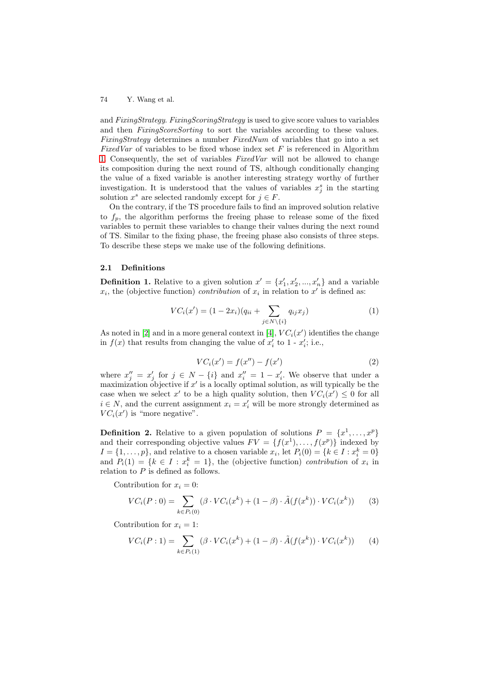and *FixingStrategy*. *FixingScoringStrategy* is used to give score values to variables and then *FixingScoreSorting* to sort the variables according to these values. *FixingStrategy* determines a number *FixedNum* of variables that go into a set *FixedVar* of variables to be fixed whose index set F is referenced in Algorithm [1.](#page-1-0) Consequently, the set of variables *FixedVar* will not be allowed to change its composition during the next round of TS, although conditionally changing the value of a fixed variable is another interesting strategy worthy of further investigation. It is understood that the values of variables  $x_j^s$  in the starting solution  $x^s$  are selected randomly except for  $j \in F$ .

On the contrary, if the TS procedure fails to find an improved solution relative to  $f_p$ , the algorithm performs the freeing phase to release some of the fixed variables to permit these variables to change their values during the next round of TS. Similar to the fixing phase, the freeing phase also consists of three steps. To describe these steps we make use of the following definitions.

#### <span id="page-2-0"></span>**2.1 Definitions**

**Definition 1.** Relative to a given solution  $x' = \{x'_1, x'_2, ..., x'_n\}$  and a variable  $x_i$ , the (objective function) *contribution* of  $x_i$  in relation to  $x'$  is defined as:

$$
VC_i(x') = (1 - 2x_i)(q_{ii} + \sum_{j \in N \setminus \{i\}} q_{ij}x_j)
$$
 (1)

As noted in  $[2]$  and in a more general context in  $[4]$ ,  $VC<sub>i</sub>(x')$  identifies the change in  $f(x)$  that results from changing the value of  $x'_{i}$  to 1 -  $x'_{i}$ ; i.e.,

$$
VC_i(x') = f(x'') - f(x')
$$
 (2)

where  $x''_j = x'_j$  for  $j \in N - \{i\}$  and  $x''_i = 1 - x'_i$ . We observe that under a maximization objective if  $x'$  is a locally optimal solution, as will typically be the case when we select x' to be a high quality solution, then  $VC_i(x') \leq 0$  for all  $i \in N$ , and the current assignment  $x_i = x'_i$  will be more strongly determined as  $VC_i(x')$  is "more negative".

**Definition 2.** Relative to a given population of solutions  $P = \{x^1, \ldots, x^p\}$ and their corresponding objective values  $FV = \{f(x^1),...,f(x^p)\}\)$  indexed by  $I = \{1, \ldots, p\}$ , and relative to a chosen variable  $x_i$ , let  $P_i(0) = \{k \in I : x_i^k = 0\}$ and  $P_i(1) = \{k \in I : x_i^k = 1\}$ , the (objective function) *contribution* of  $x_i$  in relation to  $P$  is defined as follows.

Contribution for  $x_i = 0$ :

$$
VC_i(P:0) = \sum_{k \in P_i(0)} (\beta \cdot VC_i(x^k) + (1 - \beta) \cdot \tilde{A}(f(x^k)) \cdot VC_i(x^k))
$$
 (3)

Contribution for  $x_i = 1$ :

$$
VC_i(P:1) = \sum_{k \in P_i(1)} (\beta \cdot VC_i(x^k) + (1 - \beta) \cdot \tilde{A}(f(x^k)) \cdot VC_i(x^k)) \tag{4}
$$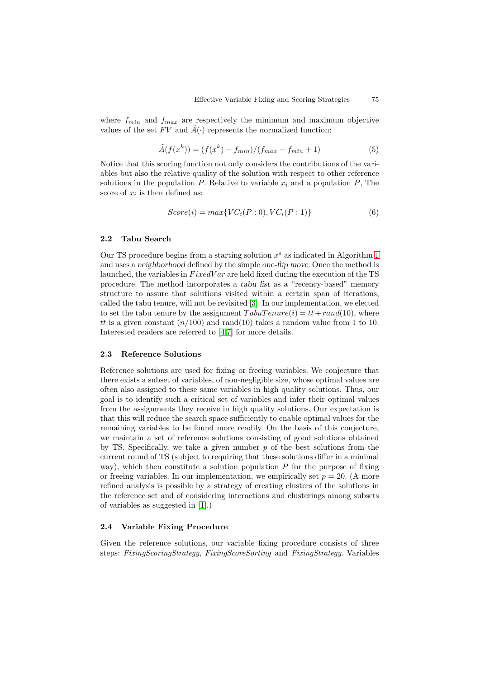where  $f_{min}$  and  $f_{max}$  are respectively the minimum and maximum objective values of the set FV and  $\tilde{A}(\cdot)$  represents the normalized function:

$$
\tilde{A}(f(x^{k})) = (f(x^{k}) - f_{min})/(f_{max} - f_{min} + 1)
$$
\n(5)

Notice that this scoring function not only considers the contributions of the variables but also the relative quality of the solution with respect to other reference solutions in the population  $P$ . Relative to variable  $x_i$  and a population  $P$ , The score of  $x_i$  is then defined as:

$$
Score(i) = max\{VC_i(P:0), VC_i(P:1)\}
$$
\n
$$
(6)
$$

### <span id="page-3-0"></span>**2.2 Tabu Search**

Our TS procedure begins from a starting solution x*<sup>s</sup>* as indicated in Algorithm [1](#page-1-0) and uses a *neighborhood* defined by the simple *one-flip move*. Once the method is launched, the variables in  $FixedVar$  are held fixed during the execution of the TS procedure. The method incorporates a *tabu list* as a "recency-based" memory structure to assure that solutions visited within a certain span of iterations, called the tabu tenure, will not be revisited [\[3\]](#page-11-10). In our implementation, we elected to set the tabu tenure by the assignment  $TabuTermre(i) = tt + rand(10)$ , where tt is a given constant  $(n/100)$  and rand(10) takes a random value from 1 to 10. Interested readers are referred to [\[4,](#page-11-9)[7\]](#page-11-5) for more details.

#### **2.3 Reference Solutions**

Reference solutions are used for fixing or freeing variables. We conjecture that there exists a subset of variables, of non-negligible size, whose optimal values are often also assigned to these same variables in high quality solutions. Thus, our goal is to identify such a critical set of variables and infer their optimal values from the assignments they receive in high quality solutions. Our expectation is that this will reduce the search space sufficiently to enable optimal values for the remaining variables to be found more readily. On the basis of this conjecture, we maintain a set of reference solutions consisting of good solutions obtained by TS. Specifically, we take a given number  $p$  of the best solutions from the current round of TS (subject to requiring that these solutions differ in a minimal way), which then constitute a solution population  $P$  for the purpose of fixing or freeing variables. In our implementation, we empirically set  $p = 20$ . (A more refined analysis is possible by a strategy of creating clusters of the solutions in the reference set and of considering interactions and clusterings among subsets of variables as suggested in [\[1\]](#page-11-2).)

### **2.4 Variable Fixing Procedure**

Given the reference solutions, our variable fixing procedure consists of three steps: *FixingScoringStrategy*, *FixingScoreSorting* and *FixingStrategy*. Variables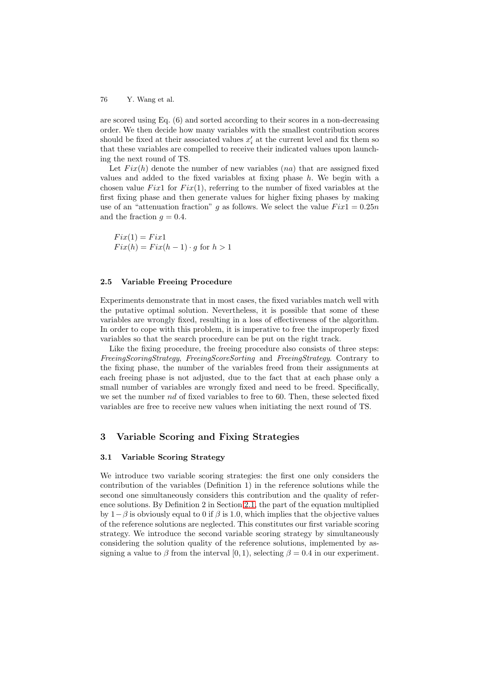are scored using Eq. (6) and sorted according to their scores in a non-decreasing order. We then decide how many variables with the smallest contribution scores should be fixed at their associated values  $x_i'$  at the current level and fix them so that these variables are compelled to receive their indicated values upon launching the next round of TS.

Let  $Fix(h)$  denote the number of new variables  $(na)$  that are assigned fixed values and added to the fixed variables at fixing phase h. We begin with a chosen value Fix1 for Fix(1), referring to the number of fixed variables at the first fixing phase and then generate values for higher fixing phases by making use of an "attenuation fraction" g as follows. We select the value  $Fix1=0.25n$ and the fraction  $q = 0.4$ .

 $Fix(1) = Fix1$  $Fix(h) = Fix(h-1) \cdot g$  for  $h > 1$ 

#### **2.5 Variable Freeing Procedure**

Experiments demonstrate that in most cases, the fixed variables match well with the putative optimal solution. Nevertheless, it is possible that some of these variables are wrongly fixed, resulting in a loss of effectiveness of the algorithm. In order to cope with this problem, it is imperative to free the improperly fixed variables so that the search procedure can be put on the right track.

Like the fixing procedure, the freeing procedure also consists of three steps: *FreeingScoringStrategy*, *FreeingScoreSorting* and *FreeingStrategy*. Contrary to the fixing phase, the number of the variables freed from their assignments at each freeing phase is not adjusted, due to the fact that at each phase only a small number of variables are wrongly fixed and need to be freed. Specifically, we set the number nd of fixed variables to free to 60. Then, these selected fixed variables are free to receive new values when initiating the next round of TS.

# **3 Variable Scoring and Fixing Strategies**

### <span id="page-4-0"></span>**3.1 Variable Scoring Strategy**

We introduce two variable scoring strategies: the first one only considers the contribution of the variables (Definition 1) in the reference solutions while the second one simultaneously considers this contribution and the quality of reference solutions. By Definition 2 in Section [2.1,](#page-2-0) the part of the equation multiplied by  $1-\beta$  is obviously equal to 0 if  $\beta$  is 1.0, which implies that the objective values of the reference solutions are neglected. This constitutes our first variable scoring strategy. We introduce the second variable scoring strategy by simultaneously considering the solution quality of the reference solutions, implemented by assigning a value to  $\beta$  from the interval [0, 1], selecting  $\beta = 0.4$  in our experiment.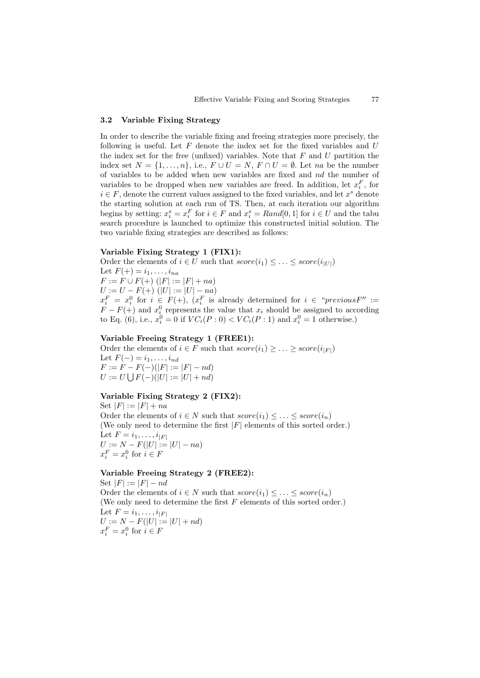#### <span id="page-5-0"></span>**3.2 Variable Fixing Strategy**

In order to describe the variable fixing and freeing strategies more precisely, the following is useful. Let  $F$  denote the index set for the fixed variables and  $U$ the index set for the free (unfixed) variables. Note that  $F$  and  $U$  partition the index set  $N = \{1, \ldots, n\}$ , i.e.,  $F \cup U = N$ ,  $F \cap U = \emptyset$ . Let na be the number of variables to be added when new variables are fixed and nd the number of variables to be dropped when new variables are freed. In addition, let  $x_i^F$ , for i ∈ F, denote the current values assigned to the fixed variables, and let x*<sup>s</sup>* denote the starting solution at each run of TS. Then, at each iteration our algorithm begins by setting:  $x_i^s = x_i^F$  for  $i \in F$  and  $x_i^s = Rand[0, 1]$  for  $i \in U$  and the tabu search procedure is launched to optimize this constructed initial solution. The two variable fixing strategies are described as follows:

#### **Variable Fixing Strategy 1 (FIX1):**

Order the elements of  $i \in U$  such that  $score(i_1) \leq \ldots \leq score(i_{|U|})$ Let  $F(+) = i_1, \ldots, i_{na}$  $F := F \cup F(+)$  (| $F| := |F| + na$ )  $U := U - F(+)$  (|U| := |U| – na)  $x_i^F = x_i^0$  for  $i \in F(+)$ ,  $(x_i^F$  is already determined for  $i \in \text{``previousF''} :=$  $F - F(+)$  and  $x_i^0$  represents the value that  $x_i$  should be assigned to according to Eq. (6), i.e.,  $x_i^0 = 0$  if  $VC_i(P:0) < VC_i(P:1)$  and  $x_i^0 = 1$  otherwise.)

### **Variable Freeing Strategy 1 (FREE1):**

Order the elements of  $i \in F$  such that  $score(i_1) \geq \ldots \geq score(i_{|F|})$ Let  $F(-) = i_1, \ldots, i_{nd}$  $F := F - F(-)(|F|) := |F| - nd$  $U := U \cup F(-)(|U| := |U| + nd)$ 

### **Variable Fixing Strategy 2 (FIX2):**

Set  $|F| := |F| + na$ Order the elements of  $i \in N$  such that  $score(i_1) \leq \ldots \leq score(i_n)$ (We only need to determine the first  $|F|$  elements of this sorted order.) Let  $F = i_1, \ldots, i_{|F|}$  $U := N - F(|U| := |U| - na)$  $x_i^F = x_i^0$  for  $i \in F$ 

## **Variable Freeing Strategy 2 (FREE2):**

Set  $|F| := |F| - nd$ Order the elements of  $i \in N$  such that  $score(i_1) \leq \ldots \leq score(i_n)$ (We only need to determine the first  $F$  elements of this sorted order.) Let  $F = i_1, ..., i_{|F|}$  $U := N - F(|U| := |U| + nd)$  $x_i^F = x_i^0$  for  $i \in F$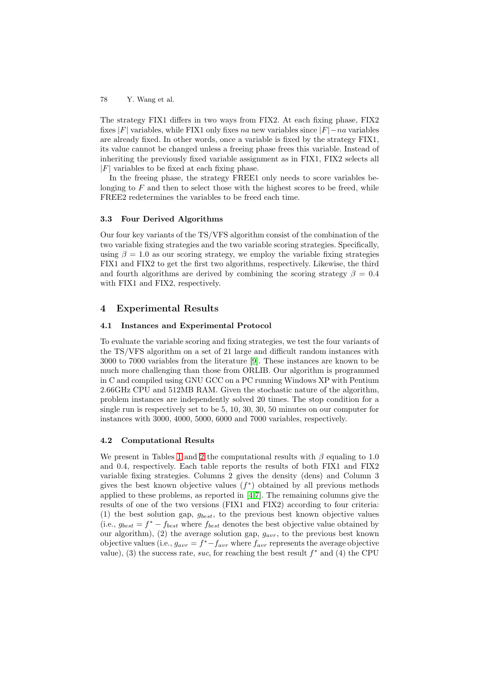The strategy FIX1 differs in two ways from FIX2. At each fixing phase, FIX2 fixes  $|F|$  variables, while FIX1 only fixes na new variables since  $|F|$  – na variables are already fixed. In other words, once a variable is fixed by the strategy FIX1, its value cannot be changed unless a freeing phase frees this variable. Instead of inheriting the previously fixed variable assignment as in FIX1, FIX2 selects all  $|F|$  variables to be fixed at each fixing phase.

In the freeing phase, the strategy FREE1 only needs to score variables belonging to  $F$  and then to select those with the highest scores to be freed, while FREE2 redetermines the variables to be freed each time.

### **3.3 Four Derived Algorithms**

Our four key variants of the TS/VFS algorithm consist of the combination of the two variable fixing strategies and the two variable scoring strategies. Specifically, using  $\beta = 1.0$  as our scoring strategy, we employ the variable fixing strategies FIX1 and FIX2 to get the first two algorithms, respectively. Likewise, the third and fourth algorithms are derived by combining the scoring strategy  $\beta = 0.4$ with FIX1 and FIX2, respectively.

### **4 Experimental Results**

### **4.1 Instances and Experimental Protocol**

To evaluate the variable scoring and fixing strategies, we test the four variants of the TS/VFS algorithm on a set of 21 large and difficult random instances with 3000 to 7000 variables from the literature [\[9\]](#page-11-7). These instances are known to be much more challenging than those from ORLIB. Our algorithm is programmed in C and compiled using GNU GCC on a PC running Windows XP with Pentium 2.66GHz CPU and 512MB RAM. Given the stochastic nature of the algorithm, problem instances are independently solved 20 times. The stop condition for a single run is respectively set to be 5, 10, 30, 30, 50 minutes on our computer for instances with 3000, 4000, 5000, 6000 and 7000 variables, respectively.

### **4.2 Computational Results**

We present in Tables [1](#page-7-0) and [2](#page-8-0) the computational results with  $\beta$  equaling to 1.0 and 0.4, respectively. Each table reports the results of both FIX1 and FIX2 variable fixing strategies. Columns 2 gives the density (dens) and Column 3 gives the best known objective values  $(f^*)$  obtained by all previous methods applied to these problems, as reported in [\[4](#page-11-9)[,7\]](#page-11-5). The remaining columns give the results of one of the two versions (FIX1 and FIX2) according to four criteria: (1) the best solution gap, g*best*, to the previous best known objective values (i.e.,  $g_{best} = f^* - f_{best}$  where  $f_{best}$  denotes the best objective value obtained by our algorithm), (2) the average solution gap, g*avr*, to the previous best known objective values (i.e.,  $g_{avr} = f^* - f_{avr}$  where  $f_{avr}$  represents the average objective value), (3) the success rate, *suc*, for reaching the best result  $f^*$  and (4) the CPU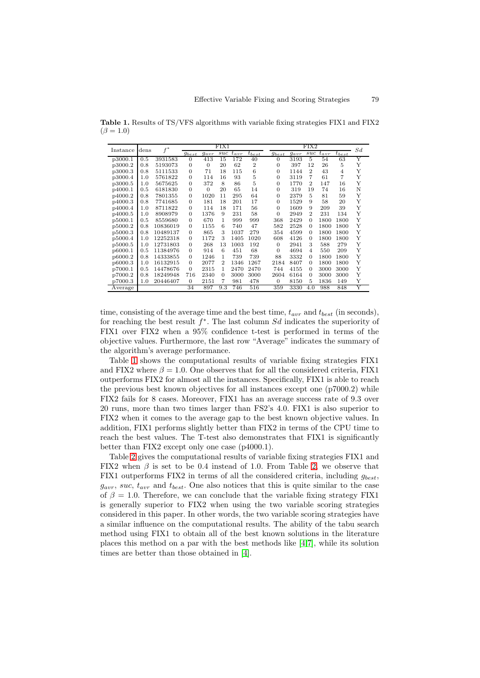<span id="page-7-0"></span>**Table 1.** Results of TS/VFS algorithms with variable fixing strategies FIX1 and FIX2  $(\beta = 1.0)$ 

| Instance | dens | $f^\ast$ | FIX1           |           |                |           |                |  | FIX2           |           |                |           |                | $^{Sd}$ |
|----------|------|----------|----------------|-----------|----------------|-----------|----------------|--|----------------|-----------|----------------|-----------|----------------|---------|
|          |      |          | $g_{best}$     | $g_{avr}$ | $_{suc}$       | $t_{avr}$ | $t_{best}$     |  | $g_{best}$     | $g_{avr}$ | $_{suc}$       | $t_{avr}$ | $t_{best}$     |         |
| p3000.1  | 0.5  | 3931583  | $\theta$       | 413       | 15             | 172       | 40             |  | $\theta$       | 3193      | 5              | 54        | 63             | Υ       |
| p3000.2  | 0.8  | 5193073  | $\theta$       | $\theta$  | 20             | 62        | $\overline{2}$ |  | $\overline{0}$ | 397       | 12             | 26        | 5              | Y       |
| p3000.3  | 0.8  | 5111533  | $\overline{0}$ | 71        | 18             | 115       | 6              |  | $\theta$       | 1144      | $\overline{2}$ | 43        | $\overline{4}$ | Y       |
| p3000.4  | 1.0  | 5761822  | $\theta$       | 114       | 16             | 93        | 5              |  | $\overline{0}$ | 3119      | 7              | 61        | 7              | Y       |
| p3000.5  | 1.0  | 5675625  | $\overline{0}$ | 372       | 8              | 86        | 5              |  | $\theta$       | 1770      | $\overline{2}$ | 147       | 16             | Y       |
| p4000.1  | 0.5  | 6181830  | $\overline{0}$ | $\Omega$  | 20             | 65        | 14             |  | $\overline{0}$ | 319       | 19             | 74        | 16             | N       |
| p4000.2  | 0.8  | 7801355  | $\overline{0}$ | 1020      | 11             | 295       | 64             |  | $\overline{0}$ | 2379      | 5              | 81        | 59             | Y       |
| p4000.3  | 0.8  | 7741685  | $\overline{0}$ | 181       | 18             | 201       | 17             |  | $\theta$       | 1529      | 9              | 58        | 20             | Y       |
| p4000.4  | 1.0  | 8711822  | $\overline{0}$ | 114       | 18             | 171       | 56             |  | $\theta$       | 1609      | 9              | 209       | 39             | Y       |
| p4000.5  | 1.0  | 8908979  | $\theta$       | 1376      | 9              | 231       | 58             |  | $\theta$       | 2949      | $\overline{2}$ | 231       | 134            | Υ       |
| p5000.1  | 0.5  | 8559680  | $\theta$       | 670       | 1              | 999       | 999            |  | 368            | 2429      | $\Omega$       | 1800      | 1800           | Y       |
| p5000.2  | 0.8  | 10836019 | $\overline{0}$ | 1155      | 6              | 740       | 47             |  | 582            | 2528      | $\Omega$       | 1800      | 1800           | Y       |
| p5000.3  | 0.8  | 10489137 | $\theta$       | 865       | 3              | 1037      | 279            |  | 354            | 4599      | $\overline{0}$ | 1800      | 1800           | Y       |
| p5000.4  | 1.0  | 12252318 | $\theta$       | 1172      | 3              | 1405      | 1020           |  | 608            | 4126      | $\overline{0}$ | 1800      | 1800           | Y       |
| p5000.5  | 1.0  | 12731803 | $\theta$       | 268       | 13             | 1003      | 192            |  | $\theta$       | 2941      | 3              | 588       | 279            | Y       |
| p6000.1  | 0.5  | 11384976 | $\overline{0}$ | 914       | 6              | 451       | 68             |  | $\theta$       | 4694      | $\overline{4}$ | 550       | 209            | Y       |
| p6000.2  | 0.8  | 14333855 | $\theta$       | 1246      | 1              | 739       | 739            |  | 88             | 3332      | $\Omega$       | 1800      | 1800           | Y       |
| p6000.3  | 1.0  | 16132915 | $\overline{0}$ | 2077      | $\overline{2}$ | 1346      | 1267           |  | 2184           | 8407      | $\theta$       | 1800      | 1800           | Y       |
| p7000.1  | 0.5  | 14478676 | $\theta$       | 2315      | 1              | 2470      | 2470           |  | 744            | 4155      | $\theta$       | 3000      | 3000           | Y       |
| p7000.2  | 0.8  | 18249948 | 716            | 2340      | $\Omega$       | 3000      | 3000           |  | 2604           | 6164      | $\Omega$       | 3000      | 3000           | Y       |
| p7000.3  | 1.0  | 20446407 | $\overline{0}$ | 2151      | 7              | 981       | 478            |  | $\theta$       | 8150      | 5              | 1836      | 149            | Y       |
| Average  |      |          | 34             | 897       | 9.3            | 746       | 516            |  | 359            | 3330      | 4.0            | 988       | 848            | Υ       |

time, consisting of the average time and the best time, t*avr* and t*best* (in seconds), for reaching the best result  $f^*$ . The last column Sd indicates the superiority of FIX1 over FIX2 when a 95% confidence t-test is performed in terms of the objective values. Furthermore, the last row "Average" indicates the summary of the algorithm's average performance.

Table [1](#page-7-0) shows the computational results of variable fixing strategies FIX1 and FIX2 where  $\beta = 1.0$ . One observes that for all the considered criteria, FIX1 outperforms FIX2 for almost all the instances. Specifically, FIX1 is able to reach the previous best known objectives for all instances except one (p7000.2) while FIX2 fails for 8 cases. Moreover, FIX1 has an average success rate of 9.3 over 20 runs, more than two times larger than FS2's 4.0. FIX1 is also superior to FIX2 when it comes to the average gap to the best known objective values. In addition, FIX1 performs slightly better than FIX2 in terms of the CPU time to reach the best values. The T-test also demonstrates that FIX1 is significantly better than FIX2 except only one case (p4000.1).

Table [2](#page-8-0) gives the computational results of variable fixing strategies FIX1 and FIX2 when  $\beta$  is set to be 0.4 instead of 1.0. From Table [2,](#page-8-0) we observe that FIX1 outperforms FIX2 in terms of all the considered criteria, including g*best*, g*avr*, suc, t*avr* and t*best*. One also notices that this is quite similar to the case of  $\beta = 1.0$ . Therefore, we can conclude that the variable fixing strategy FIX1 is generally superior to FIX2 when using the two variable scoring strategies considered in this paper. In other words, the two variable scoring strategies have a similar influence on the computational results. The ability of the tabu search method using FIX1 to obtain all of the best known solutions in the literature places this method on a par with the best methods like [\[4](#page-11-9)[,7\]](#page-11-5), while its solution times are better than those obtained in [\[4\]](#page-11-9).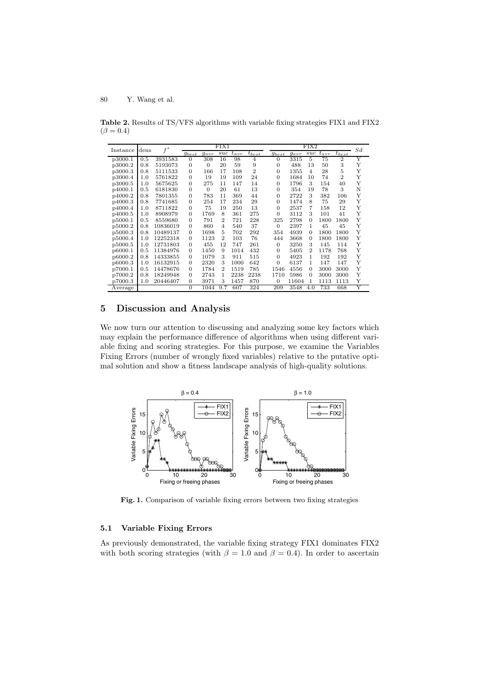<span id="page-8-0"></span>**Table 2.** Results of TS/VFS algorithms with variable fixing strategies FIX1 and FIX2  $(\beta = 0.4)$ 

| Instance | dens | $f^\ast$ |                | $\rm FIX1$     |                | FIX2      |                |                |           |                | $^{Sd}$   |                |   |
|----------|------|----------|----------------|----------------|----------------|-----------|----------------|----------------|-----------|----------------|-----------|----------------|---|
|          |      |          | $g_{best}$     | $g_{avr}$      | $_{suc}$       | $t_{avr}$ | $t_{best}$     | $g_{best}$     | $g_{avr}$ | $_{suc}$       | $t_{avr}$ | $t_{best}$     |   |
| p3000.1  | 0.5  | 3931583  | 0              | 308            | 16             | 98        | 4              | 0              | 3315      | 5              | 75        | $\overline{2}$ | Υ |
| p3000.2  | 0.8  | 5193073  | $\theta$       | $\theta$       | 20             | 59        | 9              | $\theta$       | 488       | 13             | 50        | 3              | Y |
| p3000.3  | 0.8  | 5111533  | $\theta$       | 166            | 17             | 108       | $\overline{2}$ | 0              | 1355      | $\overline{4}$ | 28        | 5              | Υ |
| p3000.4  | 1.0  | 5761822  | $\theta$       | 19             | 19             | 109       | 24             | $\theta$       | 1684      | 10             | 74        | $\overline{2}$ | Y |
| p3000.5  | 1.0  | 5675625  | $\theta$       | 275            | 11             | 147       | 14             | $\overline{0}$ | 1796      | 3              | 154       | 40             | Y |
| p4000.1  | 0.5  | 6181830  | $\theta$       | $\overline{0}$ | 20             | 61        | 13             | 0              | 354       | 19             | 78        | 3              | N |
| p4000.2  | 0.8  | 7801355  | $\theta$       | 783            | 11             | 369       | 44             | 0              | 2722      | 3              | 382       | 106            | Y |
| p4000.3  | 0.8  | 7741685  | $\theta$       | 254            | 17             | 234       | 29             | 0              | 1474      | 8              | 75        | 29             | Y |
| p4000.4  | 1.0  | 8711822  | $\theta$       | 75             | 19             | 250       | 13             | 0              | 2537      | 7              | 158       | 12             | Υ |
| p4000.5  | 1.0  | 8908979  | $\theta$       | 1769           | 8              | 361       | 275            | 0              | 3112      | 3              | 101       | 41             | Υ |
| p5000.1  | 0.5  | 8559680  | $\theta$       | 791            | $\overline{2}$ | 721       | 228            | 325            | 2798      | $\overline{0}$ | 1800      | 1800           | Y |
| p5000.2  | 0.8  | 10836019 | $\theta$       | 860            | 4              | 540       | 37             | $\theta$       | 2397      | 1              | 45        | 45             | Υ |
| p5000.3  | 0.8  | 10489137 | $\theta$       | 1698           | 5              | 702       | 292            | 354            | 4939      | $\overline{0}$ | 1800      | 1800           | Y |
| p5000.4  | 1.0  | 12252318 | $\theta$       | 1123           | $\overline{2}$ | 103       | 76             | 444            | 3668      | $\theta$       | 1800      | 1800           | Υ |
| p5000.5  | 1.0  | 12731803 | $\theta$       | 455            | 12             | 747       | 261            | $\theta$       | 3250      | 3              | 145       | 114            | Υ |
| p6000.1  | 0.5  | 11384976 | $\theta$       | 1450           | 9              | 1014      | 432            | 0              | 5405      | $\overline{2}$ | 1178      | 768            | Y |
| p6000.2  | 0.8  | 14333855 | $\theta$       | 1079           | 3              | 911       | 515            | 0              | 4923      | 1              | 192       | 192            | Υ |
| p6000.3  | 1.0  | 16132915 | $\theta$       | 2320           | 3              | 1000      | 642            | 0              | 6137      | 1              | 147       | 147            | Υ |
| p7000.1  | 0.5  | 14478676 | $\theta$       | 1784           | $\overline{2}$ | 1519      | 785            | 1546           | 4556      | $\theta$       | 3000      | 3000           | Υ |
| p7000.2  | 0.8  | 18249948 | $\theta$       | 2743           | 1              | 2238      | 2238           | 1710           | 5986      | $\Omega$       | 3000      | 3000           | Υ |
| p7000.3  | 1.0  | 20446407 | $\mathbf{0}$   | 3971           | 3              | 1457      | 870            | $\mathbf{0}$   | 11604     | 1              | 1113      | 1113           | Y |
| Average  |      |          | $\overline{0}$ | 1044           | 9.7            | 607       | 324            | 209            | 3548      | 4.0            | 733       | 668            | Y |

# **5 Discussion and Analysis**

We now turn our attention to discussing and analyzing some key factors which may explain the performance difference of algorithms when using different variable fixing and scoring strategies. For this purpose, we examine the Variables Fixing Errors (number of wrongly fixed variables) relative to the putative optimal solution and show a fitness landscape analysis of high-quality solutions.



<span id="page-8-1"></span>**Fig. 1.** Comparison of variable fixing errors between two fixing strategies

#### **5.1 Variable Fixing Errors**

As previously demonstrated, the variable fixing strategy FIX1 dominates FIX2 with both scoring strategies (with  $\beta = 1.0$  and  $\beta = 0.4$ ). In order to ascertain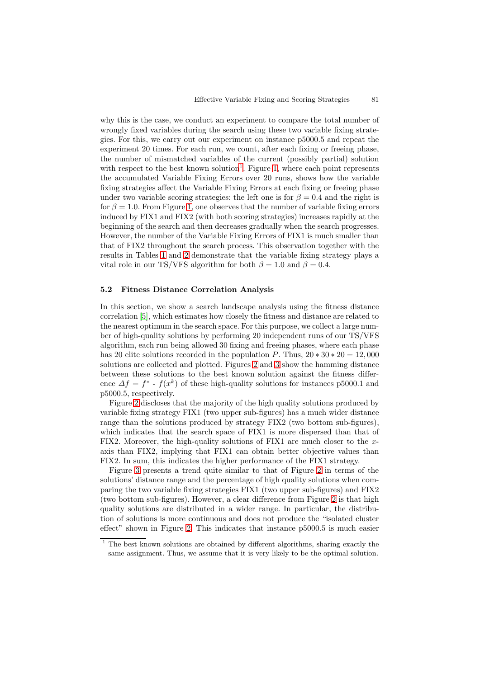why this is the case, we conduct an experiment to compare the total number of wrongly fixed variables during the search using these two variable fixing strategies. For this, we carry out our experiment on instance p5000.5 and repeat the experiment 20 times. For each run, we count, after each fixing or freeing phase, the number of mismatched variables of the current (possibly partial) solution with respect to the best known solution<sup>[1](#page-9-0)</sup>. Figure [1,](#page-8-1) where each point represents the accumulated Variable Fixing Errors over 20 runs, shows how the variable fixing strategies affect the Variable Fixing Errors at each fixing or freeing phase under two variable scoring strategies: the left one is for  $\beta = 0.4$  and the right is for  $\beta = 1.0$ . From Figure [1,](#page-8-1) one observes that the number of variable fixing errors induced by FIX1 and FIX2 (with both scoring strategies) increases rapidly at the beginning of the search and then decreases gradually when the search progresses. However, the number of the Variable Fixing Errors of FIX1 is much smaller than that of FIX2 throughout the search process. This observation together with the results in Tables [1](#page-7-0) and [2](#page-8-0) demonstrate that the variable fixing strategy plays a vital role in our TS/VFS algorithm for both  $\beta = 1.0$  and  $\beta = 0.4$ .

#### **5.2 Fitness Distance Correlation Analysis**

In this section, we show a search landscape analysis using the fitness distance correlation [\[5\]](#page-11-11), which estimates how closely the fitness and distance are related to the nearest optimum in the search space. For this purpose, we collect a large number of high-quality solutions by performing 20 independent runs of our TS/VFS algorithm, each run being allowed 30 fixing and freeing phases, where each phase has 20 elite solutions recorded in the population P. Thus,  $20 * 30 * 20 = 12,000$ solutions are collected and plotted. Figures [2](#page-10-0) and [3](#page-10-1) show the hamming distance between these solutions to the best known solution against the fitness difference  $\Delta f = f^*$  -  $f(x^k)$  of these high-quality solutions for instances p5000.1 and p5000.5, respectively.

Figure [2](#page-10-0) discloses that the majority of the high quality solutions produced by variable fixing strategy FIX1 (two upper sub-figures) has a much wider distance range than the solutions produced by strategy FIX2 (two bottom sub-figures), which indicates that the search space of FIX1 is more dispersed than that of FIX2. Moreover, the high-quality solutions of FIX1 are much closer to the xaxis than FIX2, implying that FIX1 can obtain better objective values than FIX2. In sum, this indicates the higher performance of the FIX1 strategy.

Figure [3](#page-10-1) presents a trend quite similar to that of Figure [2](#page-10-0) in terms of the solutions' distance range and the percentage of high quality solutions when comparing the two variable fixing strategies FIX1 (two upper sub-figures) and FIX2 (two bottom sub-figures). However, a clear difference from Figure [2](#page-10-0) is that high quality solutions are distributed in a wider range. In particular, the distribution of solutions is more continuous and does not produce the "isolated cluster effect" shown in Figure [2.](#page-10-0) This indicates that instance p5000.5 is much easier

<span id="page-9-0"></span><sup>1</sup> The best known solutions are obtained by different algorithms, sharing exactly the same assignment. Thus, we assume that it is very likely to be the optimal solution.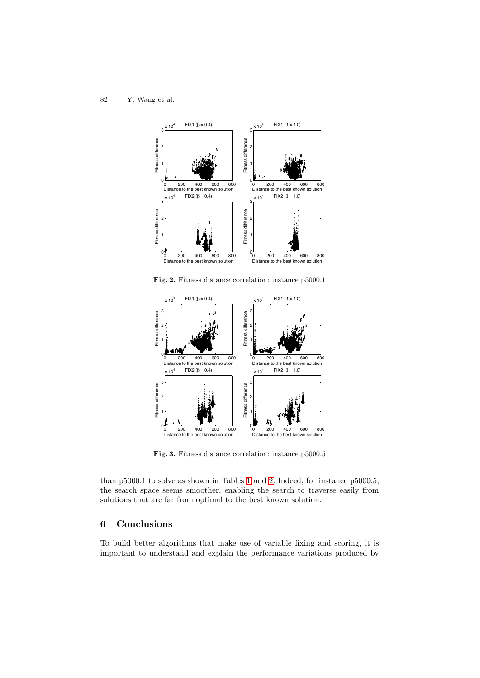

**Fig. 2.** Fitness distance correlation: instance p5000.1

<span id="page-10-0"></span>

**Fig. 3.** Fitness distance correlation: instance p5000.5

<span id="page-10-1"></span>than p5000.1 to solve as shown in Tables [1](#page-7-0) and [2.](#page-8-0) Indeed, for instance p5000.5, the search space seems smoother, enabling the search to traverse easily from solutions that are far from optimal to the best known solution.

## **6 Conclusions**

To build better algorithms that make use of variable fixing and scoring, it is important to understand and explain the performance variations produced by